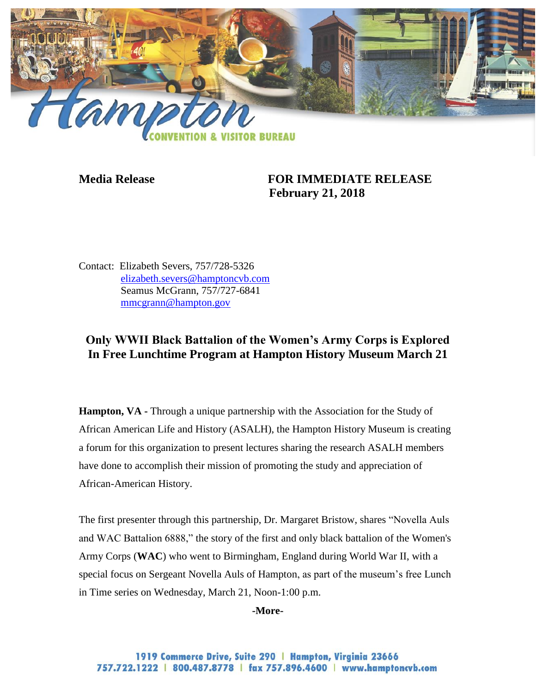

## **Media Release FOR IMMEDIATE RELEASE February 21, 2018**

Contact: Elizabeth Severs, 757/728-5326 [elizabeth.severs@hamptoncvb.com](mailto:elizabeth.severs@hamptoncvb.com) Seamus McGrann, 757/727-6841 [mmcgrann@hampton.gov](mailto:mmcgrann@hampton.gov)

# **Only WWII Black Battalion of the Women's Army Corps is Explored In Free Lunchtime Program at Hampton History Museum March 21**

**Hampton, VA -** Through a unique partnership with the Association for the Study of African American Life and History (ASALH), the Hampton History Museum is creating a forum for this organization to present lectures sharing the research ASALH members have done to accomplish their mission of promoting the study and appreciation of African-American History.

The first presenter through this partnership, Dr. Margaret Bristow, shares "Novella Auls and WAC Battalion 6888," the story of the first and only black battalion of the Women's Army Corps (**WAC**) who went to Birmingham, England during World War II, with a special focus on Sergeant Novella Auls of Hampton, as part of the museum's free Lunch in Time series on Wednesday, March 21, Noon-1:00 p.m.

#### **-More-**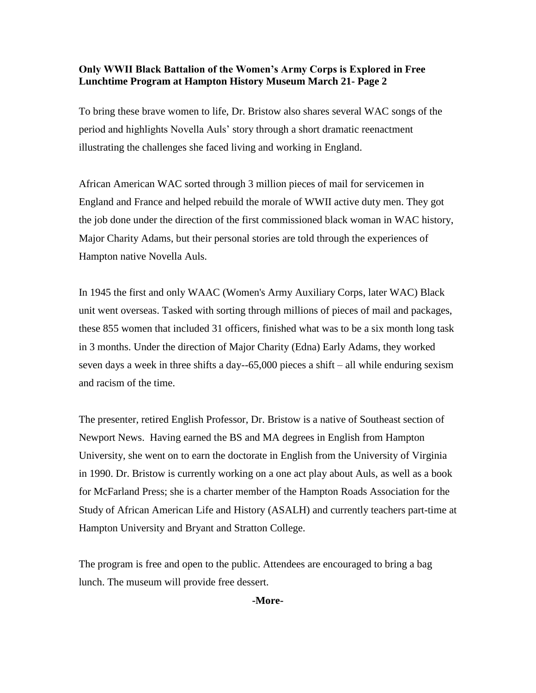### **Only WWII Black Battalion of the Women's Army Corps is Explored in Free Lunchtime Program at Hampton History Museum March 21- Page 2**

To bring these brave women to life, Dr. Bristow also shares several WAC songs of the period and highlights Novella Auls' story through a short dramatic reenactment illustrating the challenges she faced living and working in England.

African American WAC sorted through 3 million pieces of mail for servicemen in England and France and helped rebuild the morale of WWII active duty men. They got the job done under the direction of the first commissioned black woman in WAC history, Major Charity Adams, but their personal stories are told through the experiences of Hampton native Novella Auls.

In 1945 the first and only WAAC (Women's Army Auxiliary Corps, later WAC) Black unit went overseas. Tasked with sorting through millions of pieces of mail and packages, these 855 women that included 31 officers, finished what was to be a six month long task in 3 months. Under the direction of Major Charity (Edna) Early Adams, they worked seven days a week in three shifts a day--65,000 pieces a shift – all while enduring sexism and racism of the time.

The presenter, retired English Professor, Dr. Bristow is a native of Southeast section of Newport News. Having earned the BS and MA degrees in English from Hampton University, she went on to earn the doctorate in English from the University of Virginia in 1990. Dr. Bristow is currently working on a one act play about Auls, as well as a book for McFarland Press; she is a charter member of the Hampton Roads Association for the Study of African American Life and History (ASALH) and currently teachers part-time at Hampton University and Bryant and Stratton College.

The program is free and open to the public. Attendees are encouraged to bring a bag lunch. The museum will provide free dessert.

**-More-**